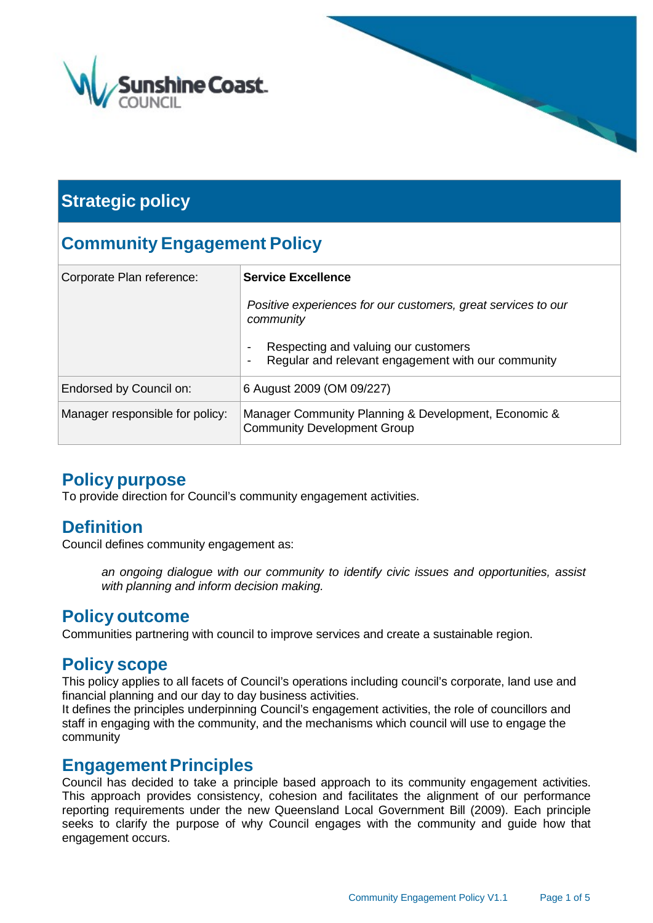

# **Strategic policy**

# **Community Engagement Policy**

| Corporate Plan reference:       | <b>Service Excellence</b>                                                                  |  |  |  |
|---------------------------------|--------------------------------------------------------------------------------------------|--|--|--|
|                                 | Positive experiences for our customers, great services to our<br>community                 |  |  |  |
|                                 | Respecting and valuing our customers<br>Regular and relevant engagement with our community |  |  |  |
| Endorsed by Council on:         | 6 August 2009 (OM 09/227)                                                                  |  |  |  |
| Manager responsible for policy: | Manager Community Planning & Development, Economic &<br><b>Community Development Group</b> |  |  |  |

## **Policy purpose**

To provide direction for Council's community engagement activities.

## **Definition**

Council defines community engagement as:

*an ongoing dialogue with our community to identify civic issues and opportunities, assist with planning and inform decision making.*

### **Policy outcome**

Communities partnering with council to improve services and create a sustainable region.

## **Policy scope**

This policy applies to all facets of Council's operations including council's corporate, land use and financial planning and our day to day business activities.

It defines the principles underpinning Council's engagement activities, the role of councillors and staff in engaging with the community, and the mechanisms which council will use to engage the community

### **Engagement Principles**

Council has decided to take a principle based approach to its community engagement activities. This approach provides consistency, cohesion and facilitates the alignment of our performance reporting requirements under the new Queensland Local Government Bill (2009). Each principle seeks to clarify the purpose of why Council engages with the community and guide how that engagement occurs.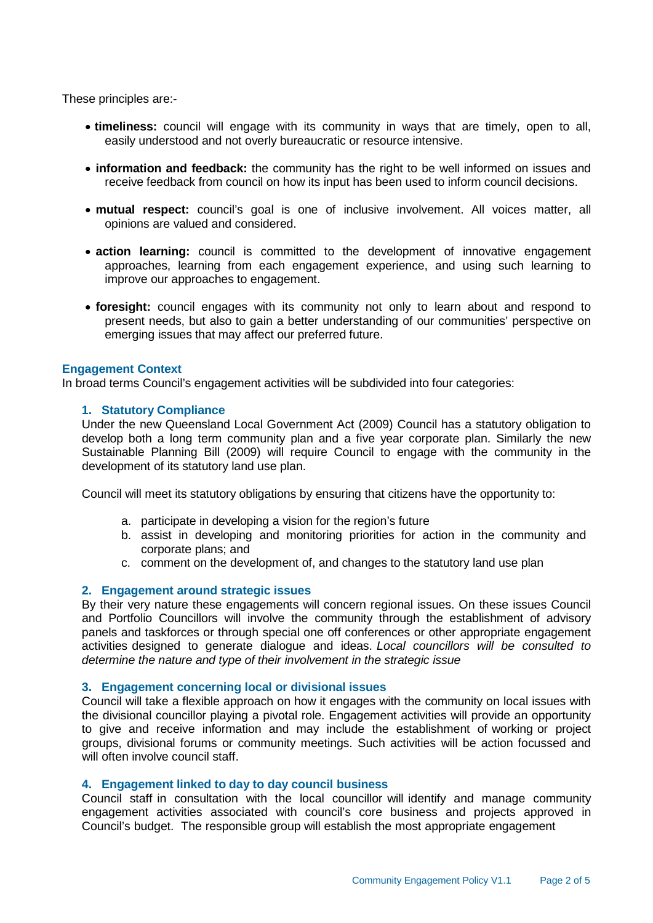These principles are:-

- **timeliness:** council will engage with its community in ways that are timely, open to all, easily understood and not overly bureaucratic or resource intensive.
- **information and feedback:** the community has the right to be well informed on issues and receive feedback from council on how its input has been used to inform council decisions.
- **mutual respect:** council's goal is one of inclusive involvement. All voices matter, all opinions are valued and considered.
- **action learning:** council is committed to the development of innovative engagement approaches, learning from each engagement experience, and using such learning to improve our approaches to engagement.
- **foresight:** council engages with its community not only to learn about and respond to present needs, but also to gain a better understanding of our communities' perspective on emerging issues that may affect our preferred future.

#### **Engagement Context**

In broad terms Council's engagement activities will be subdivided into four categories:

#### **1. Statutory Compliance**

Under the new Queensland Local Government Act (2009) Council has a statutory obligation to develop both a long term community plan and a five year corporate plan. Similarly the new Sustainable Planning Bill (2009) will require Council to engage with the community in the development of its statutory land use plan.

Council will meet its statutory obligations by ensuring that citizens have the opportunity to:

- a. participate in developing a vision for the region's future
- b. assist in developing and monitoring priorities for action in the community and corporate plans; and
- c. comment on the development of, and changes to the statutory land use plan

#### **2. Engagement around strategic issues**

By their very nature these engagements will concern regional issues. On these issues Council and Portfolio Councillors will involve the community through the establishment of advisory panels and taskforces or through special one off conferences or other appropriate engagement activities designed to generate dialogue and ideas. *Local councillors will be consulted to determine the nature and type of their involvement in the strategic issue*

#### **3. Engagement concerning local or divisional issues**

Council will take a flexible approach on how it engages with the community on local issues with the divisional councillor playing a pivotal role. Engagement activities will provide an opportunity to give and receive information and may include the establishment of working or project groups, divisional forums or community meetings. Such activities will be action focussed and will often involve council staff.

#### **4. Engagement linked to day to day council business**

Council staff in consultation with the local councillor will identify and manage community engagement activities associated with council's core business and projects approved in Council's budget. The responsible group will establish the most appropriate engagement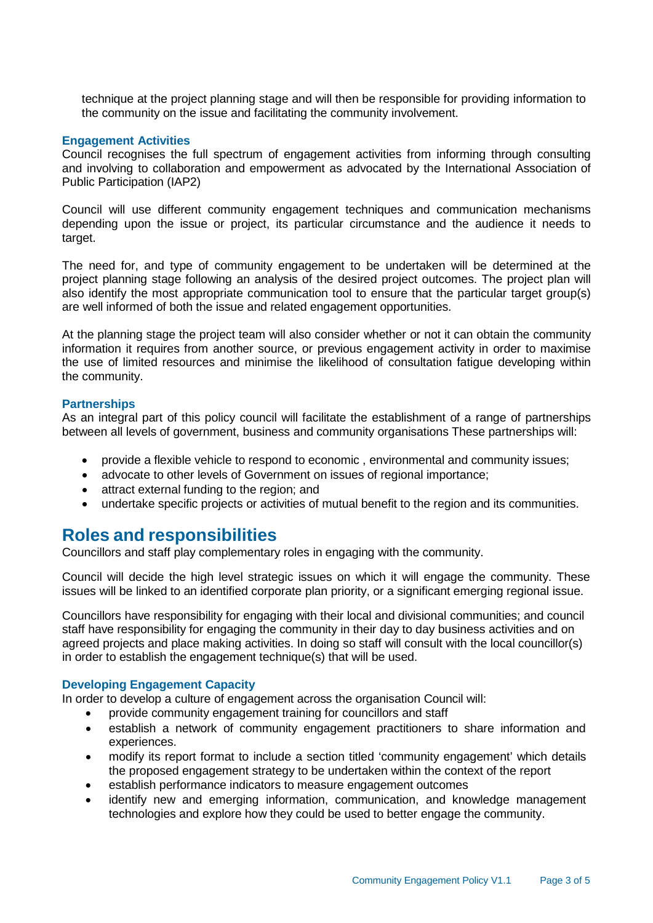technique at the project planning stage and will then be responsible for providing information to the community on the issue and facilitating the community involvement.

#### **Engagement Activities**

Council recognises the full spectrum of engagement activities from informing through consulting and involving to collaboration and empowerment as advocated by the International Association of Public Participation (IAP2)

Council will use different community engagement techniques and communication mechanisms depending upon the issue or project, its particular circumstance and the audience it needs to target.

The need for, and type of community engagement to be undertaken will be determined at the project planning stage following an analysis of the desired project outcomes. The project plan will also identify the most appropriate communication tool to ensure that the particular target group(s) are well informed of both the issue and related engagement opportunities.

At the planning stage the project team will also consider whether or not it can obtain the community information it requires from another source, or previous engagement activity in order to maximise the use of limited resources and minimise the likelihood of consultation fatigue developing within the community.

#### **Partnerships**

As an integral part of this policy council will facilitate the establishment of a range of partnerships between all levels of government, business and community organisations These partnerships will:

- provide a flexible vehicle to respond to economic , environmental and community issues;
- advocate to other levels of Government on issues of regional importance;
- attract external funding to the region; and
- undertake specific projects or activities of mutual benefit to the region and its communities.

### **Roles and responsibilities**

Councillors and staff play complementary roles in engaging with the community.

Council will decide the high level strategic issues on which it will engage the community. These issues will be linked to an identified corporate plan priority, or a significant emerging regional issue.

Councillors have responsibility for engaging with their local and divisional communities; and council staff have responsibility for engaging the community in their day to day business activities and on agreed projects and place making activities. In doing so staff will consult with the local councillor(s) in order to establish the engagement technique(s) that will be used.

#### **Developing Engagement Capacity**

In order to develop a culture of engagement across the organisation Council will:

- provide community engagement training for councillors and staff
- establish a network of community engagement practitioners to share information and experiences.
- modify its report format to include a section titled 'community engagement' which details the proposed engagement strategy to be undertaken within the context of the report
- establish performance indicators to measure engagement outcomes
- identify new and emerging information, communication, and knowledge management technologies and explore how they could be used to better engage the community.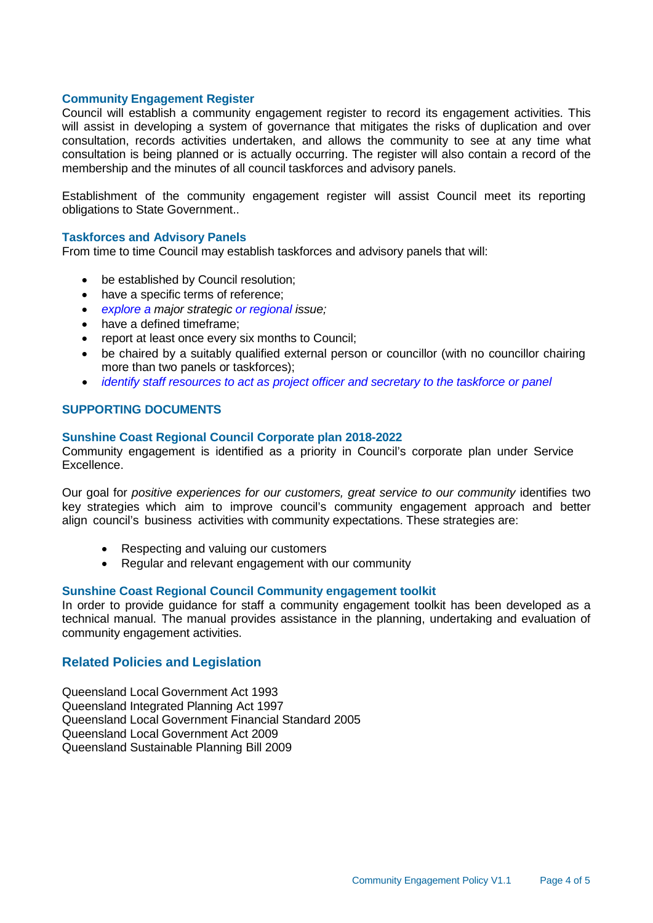#### **Community Engagement Register**

Council will establish a community engagement register to record its engagement activities. This will assist in developing a system of governance that mitigates the risks of duplication and over consultation, records activities undertaken, and allows the community to see at any time what consultation is being planned or is actually occurring. The register will also contain a record of the membership and the minutes of all council taskforces and advisory panels.

Establishment of the community engagement register will assist Council meet its reporting obligations to State Government..

#### **Taskforces and Advisory Panels**

From time to time Council may establish taskforces and advisory panels that will:

- be established by Council resolution;
- have a specific terms of reference;
- *explore a major strategic or regional issue;*
- have a defined timeframe:
- report at least once every six months to Council;
- be chaired by a suitably qualified external person or councillor (with no councillor chairing more than two panels or taskforces);
- *identify staff resources to act as project officer and secretary to the taskforce or panel*

#### **SUPPORTING DOCUMENTS**

#### **Sunshine Coast Regional Council Corporate plan 2018-2022**

Community engagement is identified as a priority in Council's corporate plan under Service Excellence.

Our goal for *positive experiences for our customers, great service to our community* identifies two key strategies which aim to improve council's community engagement approach and better align council's business activities with community expectations. These strategies are:

- Respecting and valuing our customers
- Regular and relevant engagement with our community

#### **Sunshine Coast Regional Council Community engagement toolkit**

In order to provide guidance for staff a community engagement toolkit has been developed as a technical manual. The manual provides assistance in the planning, undertaking and evaluation of community engagement activities.

#### **Related Policies and Legislation**

Queensland Local Government Act 1993 Queensland Integrated Planning Act 1997 Queensland Local Government Financial Standard 2005 Queensland Local Government Act 2009 Queensland Sustainable Planning Bill 2009